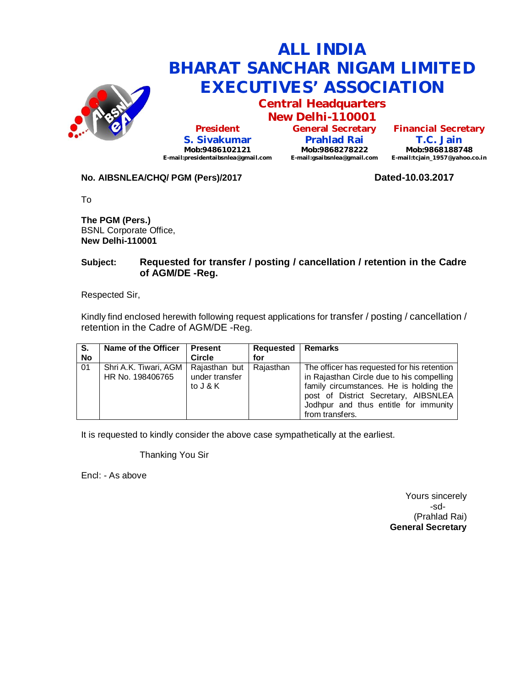

# **ALL INDIA BHARAT SANCHAR NIGAM LIMITED EXECUTIVES' ASSOCIATION**

**Central Headquarters**

**New Delhi-110001 President S. Sivakumar Mob:9486102121 E-mail:presidentaibsnlea@gmail.com**

**General Secretary Prahlad Rai Mob:9868278222 E-mail:gsaibsnlea@gmail.com**

**Financial Secretary T.C. Jain Mob:9868188748 E-mail:tcjain\_1957@yahoo.co.in**

### **No. AIBSNLEA/CHQ/ PGM (Pers)/2017 Dated-10.03.2017**

To

**The PGM (Pers.)** BSNL Corporate Office, **New Delhi-110001** 

## **Subject: Requested for transfer / posting / cancellation / retention in the Cadre of AGM/DE -Reg.**

Respected Sir,

Kindly find enclosed herewith following request applications for transfer / posting / cancellation / retention in the Cadre of AGM/DE -Reg.

| S <sub>1</sub><br><b>No</b> | Name of the Officer                       | <b>Present</b><br><b>Circle</b>             | <b>Requested</b><br>for | Remarks                                                                                                                                                                                                                                 |
|-----------------------------|-------------------------------------------|---------------------------------------------|-------------------------|-----------------------------------------------------------------------------------------------------------------------------------------------------------------------------------------------------------------------------------------|
| $\overline{01}$             | Shri A.K. Tiwari, AGM<br>HR No. 198406765 | Rajasthan but<br>under transfer<br>to J & K | Rajasthan               | The officer has requested for his retention<br>in Rajasthan Circle due to his compelling<br>family circumstances. He is holding the<br>post of District Secretary, AIBSNLEA<br>Jodhpur and thus entitle for immunity<br>from transfers. |

It is requested to kindly consider the above case sympathetically at the earliest.

Thanking You Sir

Encl: - As above

Yours sincerely -sd- (Prahlad Rai) **General Secretary**